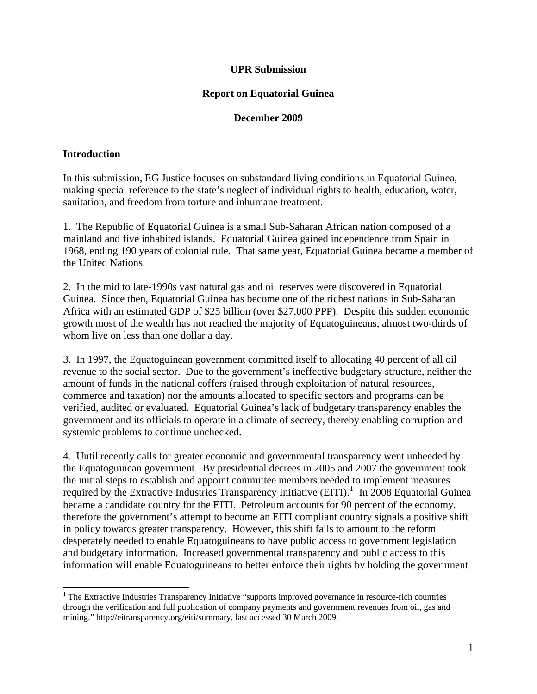#### **UPR Submission**

#### **Report on Equatorial Guinea**

#### **December 2009**

#### **Introduction**

In this submission, EG Justice focuses on substandard living conditions in Equatorial Guinea, making special reference to the state's neglect of individual rights to health, education, water, sanitation, and freedom from torture and inhumane treatment.

1. The Republic of Equatorial Guinea is a small Sub-Saharan African nation composed of a mainland and five inhabited islands. Equatorial Guinea gained independence from Spain in 1968, ending 190 years of colonial rule. That same year, Equatorial Guinea became a member of the United Nations.

2. In the mid to late-1990s vast natural gas and oil reserves were discovered in Equatorial Guinea. Since then, Equatorial Guinea has become one of the richest nations in Sub-Saharan Africa with an estimated GDP of \$25 billion (over \$27,000 PPP). Despite this sudden economic growth most of the wealth has not reached the majority of Equatoguineans, almost two-thirds of whom live on less than one dollar a day.

3. In 1997, the Equatoguinean government committed itself to allocating 40 percent of all oil revenue to the social sector. Due to the government's ineffective budgetary structure, neither the amount of funds in the national coffers (raised through exploitation of natural resources, commerce and taxation) nor the amounts allocated to specific sectors and programs can be verified, audited or evaluated. Equatorial Guinea's lack of budgetary transparency enables the government and its officials to operate in a climate of secrecy, thereby enabling corruption and systemic problems to continue unchecked.

information will enable Equato guineans to better enforce their rights by holding the government 4. Until recently calls for greater economic and governmental transparency went unheeded by the Equatoguinean government. By presidential decrees in 2005 and 2007 the government took the initial steps to establish and appoint committee members needed to implement measures required by the Extractive Industries Transparency Initiative (EITI).<sup>[1](#page-0-0)</sup> In 2008 Equatorial Guinea became a candidate country for the EITI. Petroleum accounts for 90 percent of the economy, therefore the government's attempt to become an EITI compliant country signals a positive shift in policy towards greater transparency. However, this shift fails to amount to the reform desperately needed to enable Equatoguineans to have public access to government legislation and budgetary information. Increased governmental transparency and public access to this

<span id="page-0-0"></span><sup>&</sup>lt;sup>1</sup> The Extractive Industries Transparency Initiative "supports improved governance in resource-rich countries through the verification and full publication of company payments and government revenues from oil, gas and mining." http://eitransparency.org/eiti/summary, last accessed 30 March 2009.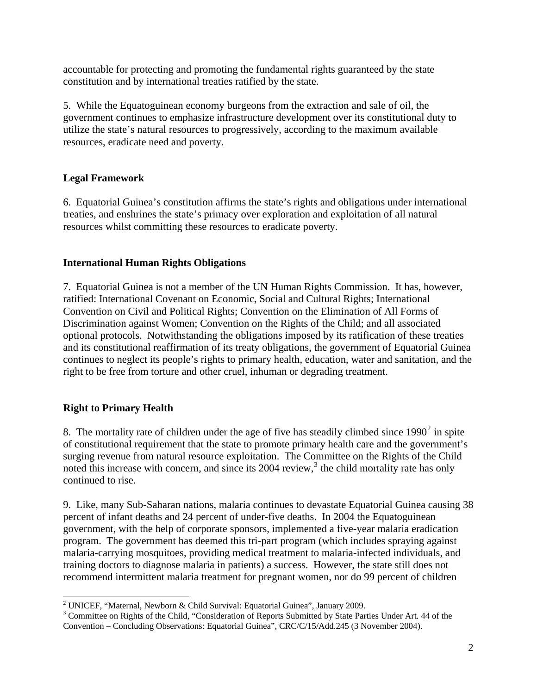accountable for protecting and promoting the fundamental rights guaranteed by the state constitution and by international treaties ratified by the state.

5. While the Equatoguinean economy burgeons from the extraction and sale of oil, the government continues to emphasize infrastructure development over its constitutional duty to utilize the state's natural resources to progressively, according to the maximum available resources, eradicate need and poverty.

# **Legal Framework**

6. Equatorial Guinea's constitution affirms the state's rights and obligations under international treaties, and enshrines the state's primacy over exploration and exploitation of all natural resources whilst committing these resources to eradicate poverty.

## **International Human Rights Obligations**

7. Equatorial Guinea is not a member of the UN Human Rights Commission. It has, however, ratified: International Covenant on Economic, Social and Cultural Rights; International Convention on Civil and Political Rights; Convention on the Elimination of All Forms of Discrimination against Women; Convention on the Rights of the Child; and all associated optional protocols. Notwithstanding the obligations imposed by its ratification of these treaties and its constitutional reaffirmation of its treaty obligations, the government of Equatorial Guinea continues to neglect its people's rights to primary health, education, water and sanitation, and the right to be free from torture and other cruel, inhuman or degrading treatment.

## **Right to Primary Health**

8. The mortality rate of children under the age of five has steadily climbed since  $1990^2$  $1990^2$  in spite of constitutional requirement that the state to promote primary health care and the government's surging revenue from natural resource exploitation. The Committee on the Rights of the Child noted this increase with concern, and since its  $2004$  review,<sup>[3](#page-1-1)</sup> the child mortality rate has only continued to rise.

recommend intermittent malar ia treatment for pregnant women, nor do 99 percent of children 9. Like, many Sub-Saharan nations, malaria continues to devastate Equatorial Guinea causing 38 percent of infant deaths and 24 percent of under-five deaths. In 2004 the Equatoguinean government, with the help of corporate sponsors, implemented a five-year malaria eradication program. The government has deemed this tri-part program (which includes spraying against malaria-carrying mosquitoes, providing medical treatment to malaria-infected individuals, and training doctors to diagnose malaria in patients) a success. However, the state still does not

 <sup>2</sup> UNICEF, "Maternal, Newborn & Child Survival: Equatorial Guinea", January 2009.

<span id="page-1-1"></span><span id="page-1-0"></span><sup>&</sup>lt;sup>3</sup> Committee on Rights of the Child, "Consideration of Reports Submitted by State Parties Under Art. 44 of the Convention – Concluding Observations: Equatorial Guinea", CRC/C/15/Add.245 (3 November 2004).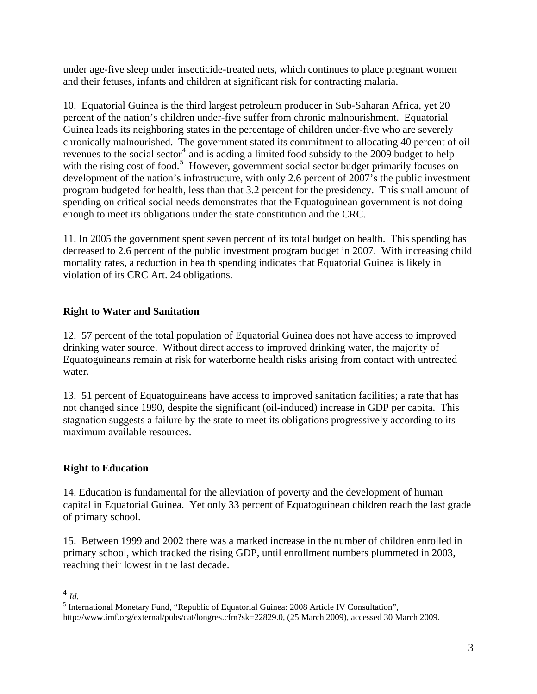under age-five sleep under insecticide-treated nets, which continues to place pregnant women and their fetuses, infants and children at significant risk for contracting malaria.

10. Equatorial Guinea is the third largest petroleum producer in Sub-Saharan Africa, yet 20 percent of the nation's children under-five suffer from chronic malnourishment. Equatorial Guinea leads its neighboring states in the percentage of children under-five who are severely chronically malnourished. The government stated its commitment to allocating 40 percent of oil revenues to the social sector<sup>[4](#page-2-0)</sup> and is adding a limited food subsidy to the 2009 budget to help with the rising cost of food.<sup>[5](#page-2-1)</sup> However, government social sector budget primarily focuses on development of the nation's infrastructure, with only 2.6 percent of 2007's the public investment program budgeted for health, less than that 3.2 percent for the presidency. This small amount of spending on critical social needs demonstrates that the Equatoguinean government is not doing enough to meet its obligations under the state constitution and the CRC.

11. In 2005 the government spent seven percent of its total budget on health. This spending has decreased to 2.6 percent of the public investment program budget in 2007. With increasing child mortality rates, a reduction in health spending indicates that Equatorial Guinea is likely in violation of its CRC Art. 24 obligations.

# **Right to Water and Sanitation**

12. 57 percent of the total population of Equatorial Guinea does not have access to improved drinking water source. Without direct access to improved drinking water, the majority of Equatoguineans remain at risk for waterborne health risks arising from contact with untreated water.

13. 51 percent of Equatoguineans have access to improved sanitation facilities; a rate that has not changed since 1990, despite the significant (oil-induced) increase in GDP per capita. This stagnation suggests a failure by the state to meet its obligations progressively according to its maximum available resources.

## **Right to Education**

14. Education is fundamental for the alleviation of poverty and the development of human capital in Equatorial Guinea. Yet only 33 percent of Equatoguinean children reach the last grade of primary school.

reaching their lowest in the las t decade. 15. Between 1999 and 2002 there was a marked increase in the number of children enrolled in primary school, which tracked the rising GDP, until enrollment numbers plummeted in 2003,

<span id="page-2-0"></span>  $^{4}$  *Id.* 

<span id="page-2-1"></span><sup>&</sup>lt;sup>5</sup> International Monetary Fund, "Republic of Equatorial Guinea: 2008 Article IV Consultation", http://www.imf.org/external/pubs/cat/longres.cfm?sk=22829.0, (25 March 2009), accessed 30 March 2009.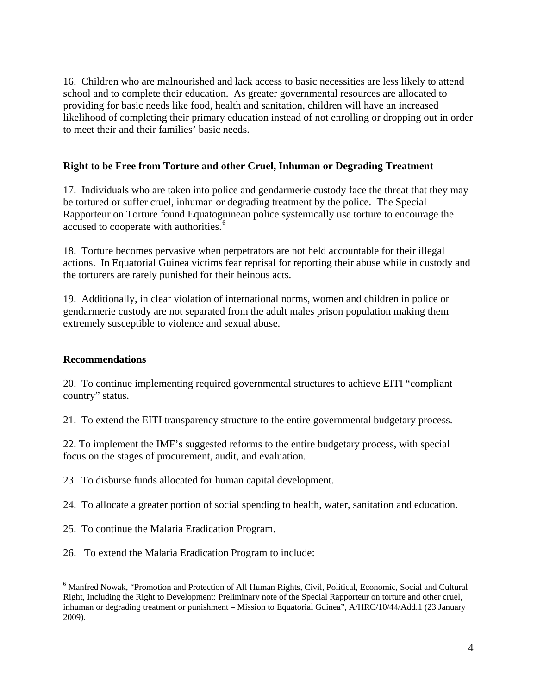16. Children who are malnourished and lack access to basic necessities are less likely to attend school and to complete their education. As greater governmental resources are allocated to providing for basic needs like food, health and sanitation, children will have an increased likelihood of completing their primary education instead of not enrolling or dropping out in order to meet their and their families' basic needs.

# **Right to be Free from Torture and other Cruel, Inhuman or Degrading Treatment**

17. Individuals who are taken into police and gendarmerie custody face the threat that they may be tortured or suffer cruel, inhuman or degrading treatment by the police. The Special Rapporteur on Torture found Equatoguinean police systemically use torture to encourage the accused to cooperate with authorities.<sup>[6](#page-3-0)</sup>

18. Torture becomes pervasive when perpetrators are not held accountable for their illegal actions. In Equatorial Guinea victims fear reprisal for reporting their abuse while in custody and the torturers are rarely punished for their heinous acts.

19. Additionally, in clear violation of international norms, women and children in police or gendarmerie custody are not separated from the adult males prison population making them extremely susceptible to violence and sexual abuse.

## **Recommendations**

20. To continue implementing required governmental structures to achieve EITI "compliant country" status.

21. To extend the EITI transparency structure to the entire governmental budgetary process.

22. To implement the IMF's suggested reforms to the entire budgetary process, with special focus on the stages of procurement, audit, and evaluation.

23. To disburse funds allocated for human capital development.

- 24. To allocate a greater portion of social spending to health, water, sanitation and education.
- 25. To continue the Malaria Eradication Program.

26. To extend the Malaria Er adication Program to include:

<span id="page-3-0"></span><sup>&</sup>lt;sup>6</sup> Manfred Nowak, "Promotion and Protection of All Human Rights, Civil, Political, Economic, Social and Cultural Right, Including the Right to Development: Preliminary note of the Special Rapporteur on torture and other cruel, inhuman or degrading treatment or punishment – Mission to Equatorial Guinea", A/HRC/10/44/Add.1 (23 January 2009).